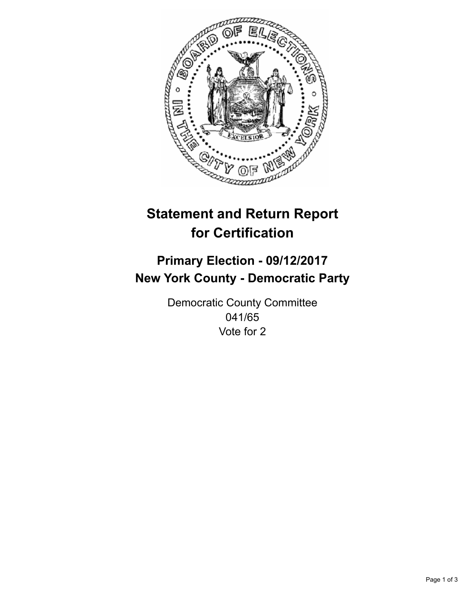

## **Statement and Return Report for Certification**

## **Primary Election - 09/12/2017 New York County - Democratic Party**

Democratic County Committee 041/65 Vote for 2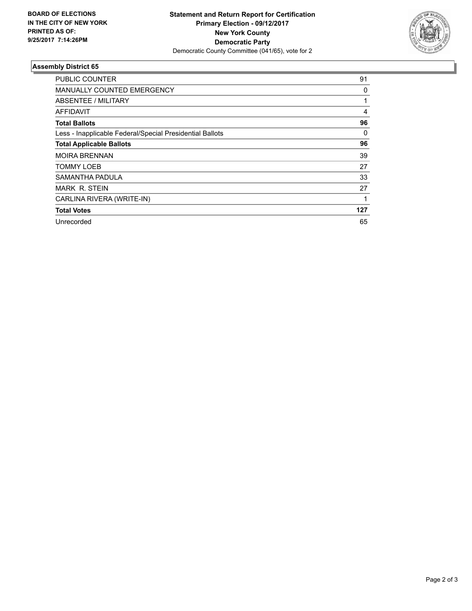

## **Assembly District 65**

| PUBLIC COUNTER                                           | 91  |
|----------------------------------------------------------|-----|
| MANUALLY COUNTED EMERGENCY                               | 0   |
| <b>ABSENTEE / MILITARY</b>                               |     |
| AFFIDAVIT                                                | 4   |
| <b>Total Ballots</b>                                     | 96  |
| Less - Inapplicable Federal/Special Presidential Ballots | 0   |
| <b>Total Applicable Ballots</b>                          | 96  |
| <b>MOIRA BRENNAN</b>                                     | 39  |
| TOMMY LOEB                                               | 27  |
| SAMANTHA PADULA                                          | 33  |
| <b>MARK R. STEIN</b>                                     | 27  |
| CARLINA RIVERA (WRITE-IN)                                |     |
| <b>Total Votes</b>                                       | 127 |
| Unrecorded                                               | 65  |